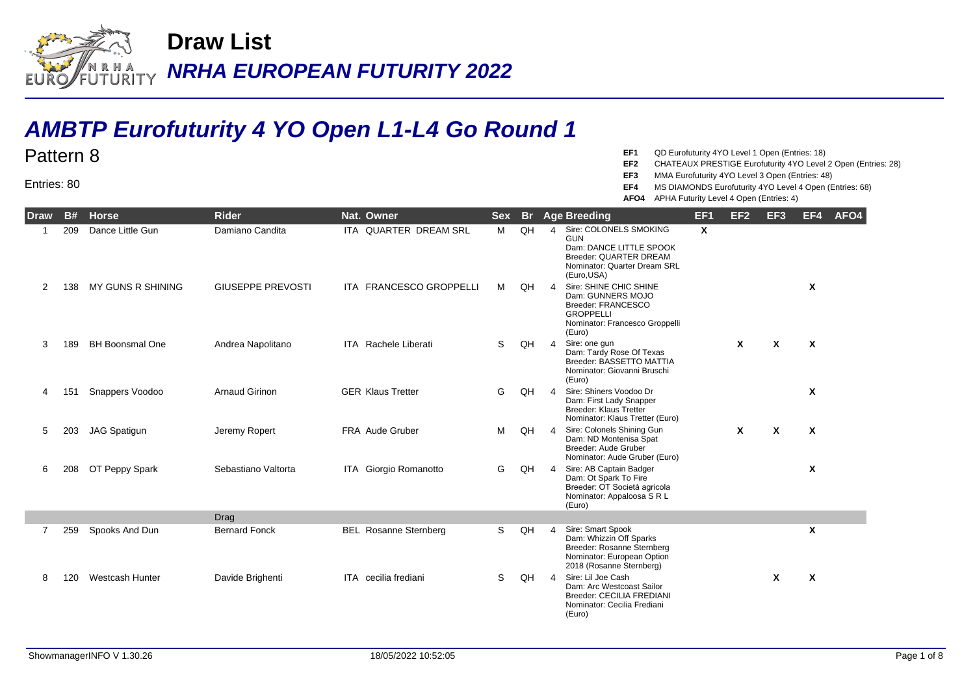

## **AMBTP Eurofuturity 4 YO Open L1-L4 Go Round 1**

## Pattern 8

Entries: 80

- **EF1** QD Eurofuturity 4YO Level 1 Open (Entries: 18)
- **EF2** CHATEAUX PRESTIGE Eurofuturity 4YO Level 2 Open (Entries: 28)
- **EF3** MMA Eurofuturity 4YO Level 3 Open (Entries: 48)
- **EF4** MS DIAMONDS Eurofuturity 4YO Level 4 Open (Entries: 68)
- **AFO4** APHA Futurity Level 4 Open (Entries: 4)

| <b>Draw</b>    | <b>B#</b> | <b>Horse</b>           | <b>Rider</b>             | Nat. Owner                   | <b>Sex</b> | <b>Br</b> |                   | <b>Age Breeding</b>                                                                                                                      | EF <sub>1</sub> | EF <sub>2</sub> | EF <sub>3</sub> | EF4 | AFO4 |
|----------------|-----------|------------------------|--------------------------|------------------------------|------------|-----------|-------------------|------------------------------------------------------------------------------------------------------------------------------------------|-----------------|-----------------|-----------------|-----|------|
|                | 209       | Dance Little Gun       | Damiano Candita          | ITA QUARTER DREAM SRL        | M          | QH        | $\mathbf{\Delta}$ | Sire: COLONELS SMOKING<br><b>GUN</b><br>Dam: DANCE LITTLE SPOOK<br>Breeder: QUARTER DREAM<br>Nominator: Quarter Dream SRL<br>(Euro, USA) | $\mathsf{x}$    |                 |                 |     |      |
| 2              | 138       | MY GUNS R SHINING      | <b>GIUSEPPE PREVOSTI</b> | ITA FRANCESCO GROPPELLI      | М          | QH        | 4                 | Sire: SHINE CHIC SHINE<br>Dam: GUNNERS MOJO<br>Breeder: FRANCESCO<br><b>GROPPELLI</b><br>Nominator: Francesco Groppelli<br>(Euro)        |                 |                 |                 | X   |      |
| 3              | 189       | <b>BH Boonsmal One</b> | Andrea Napolitano        | <b>ITA</b> Rachele Liberati  | S          | QH        | 4                 | Sire: one gun<br>Dam: Tardy Rose Of Texas<br>Breeder: BASSETTO MATTIA<br>Nominator: Giovanni Bruschi<br>(Euro)                           |                 | X               | X               | X   |      |
| 4              | 151       | Snappers Voodoo        | <b>Arnaud Girinon</b>    | <b>GER Klaus Tretter</b>     | G          | QH        | Δ                 | Sire: Shiners Voodoo Dr<br>Dam: First Lady Snapper<br><b>Breeder: Klaus Tretter</b><br>Nominator: Klaus Tretter (Euro)                   |                 |                 |                 | X   |      |
| 5              | 203       | <b>JAG Spatigun</b>    | Jeremy Ropert            | <b>FRA</b> Aude Gruber       | м          | QH        | $\overline{4}$    | Sire: Colonels Shining Gun<br>Dam: ND Montenisa Spat<br>Breeder: Aude Gruber<br>Nominator: Aude Gruber (Euro)                            |                 | $\mathbf{x}$    | X               | X   |      |
| 6              | 208       | OT Peppy Spark         | Sebastiano Valtorta      | ITA Giorgio Romanotto        | G          | QH        | $\overline{4}$    | Sire: AB Captain Badger<br>Dam: Ot Spark To Fire<br>Breeder: OT Società agricola<br>Nominator: Appaloosa S R L<br>(Euro)                 |                 |                 |                 | X   |      |
|                |           |                        | Drag                     |                              |            |           |                   |                                                                                                                                          |                 |                 |                 |     |      |
| $\overline{7}$ | 259       | Spooks And Dun         | <b>Bernard Fonck</b>     | <b>BEL Rosanne Sternberg</b> | S          | QH        | Δ                 | Sire: Smart Spook<br>Dam: Whizzin Off Sparks<br>Breeder: Rosanne Sternberg<br>Nominator: European Option<br>2018 (Rosanne Sternberg)     |                 |                 |                 | X   |      |
|                | 120       | <b>Westcash Hunter</b> | Davide Brighenti         | ITA cecilia frediani         | S          | QH        | $\overline{4}$    | Sire: Lil Joe Cash<br>Dam: Arc Westcoast Sailor<br>Breeder: CECILIA FREDIANI<br>Nominator: Cecilia Frediani<br>(Euro)                    |                 |                 | X               | X   |      |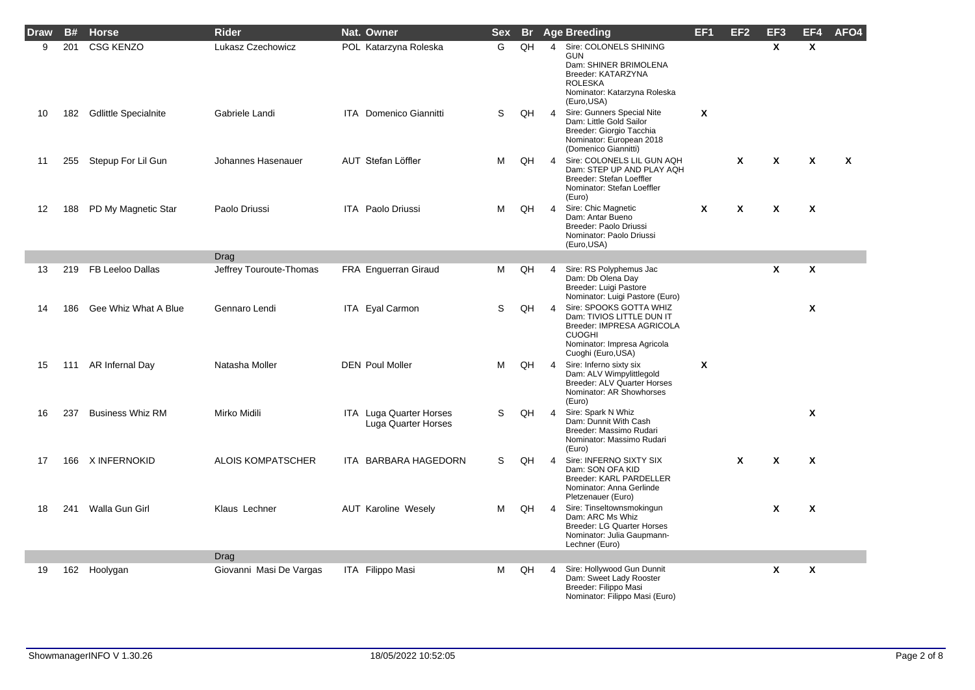| Draw | B#  | <b>Horse</b>             | <b>Rider</b>             | Nat. Owner                                     | <b>Sex</b> |    |                | <b>Br</b> Age Breeding                                                                                                                                  | EF <sub>1</sub> | EF <sub>2</sub> | EF <sub>3</sub> | EF4                       | AFO4 |
|------|-----|--------------------------|--------------------------|------------------------------------------------|------------|----|----------------|---------------------------------------------------------------------------------------------------------------------------------------------------------|-----------------|-----------------|-----------------|---------------------------|------|
| 9    | 201 | <b>CSG KENZO</b>         | Lukasz Czechowicz        | POL Katarzyna Roleska                          | G          | QH | $\overline{4}$ | Sire: COLONELS SHINING<br><b>GUN</b><br>Dam: SHINER BRIMOLENA<br>Breeder: KATARZYNA<br><b>ROLESKA</b><br>Nominator: Katarzyna Roleska<br>(Euro, USA)    |                 |                 | $\mathsf{x}$    | $\mathsf{x}$              |      |
| 10   |     | 182 Gdlittle Specialnite | Gabriele Landi           | <b>ITA</b> Domenico Giannitti                  | S          | QH | $\overline{4}$ | Sire: Gunners Special Nite<br>Dam: Little Gold Sailor<br>Breeder: Giorgio Tacchia<br>Nominator: European 2018<br>(Domenico Giannitti)                   | X               |                 |                 |                           |      |
| 11   | 255 | Stepup For Lil Gun       | Johannes Hasenauer       | AUT Stefan Löffler                             | м          | QH | $\overline{4}$ | Sire: COLONELS LIL GUN AQH<br>Dam: STEP UP AND PLAY AQH<br>Breeder: Stefan Loeffler<br>Nominator: Stefan Loeffler<br>(Euro)                             |                 | χ               | χ               | X                         | X    |
| 12   | 188 | PD My Magnetic Star      | Paolo Driussi            | ITA Paolo Driussi                              | м          | QH | $\overline{4}$ | Sire: Chic Magnetic<br>Dam: Antar Bueno<br>Breeder: Paolo Driussi<br>Nominator: Paolo Driussi<br>(Euro, USA)                                            | X               | χ               | X               | X                         |      |
|      |     |                          | Drag                     |                                                |            |    |                |                                                                                                                                                         |                 |                 |                 |                           |      |
| 13   | 219 | FB Leeloo Dallas         | Jeffrey Touroute-Thomas  | FRA Enguerran Giraud                           | м          | QH | $\overline{4}$ | Sire: RS Polyphemus Jac<br>Dam: Db Olena Day<br>Breeder: Luigi Pastore<br>Nominator: Luigi Pastore (Euro)                                               |                 |                 | X               | X                         |      |
| 14   | 186 | Gee Whiz What A Blue     | Gennaro Lendi            | ITA Eyal Carmon                                | S          | QH | $\overline{4}$ | Sire: SPOOKS GOTTA WHIZ<br>Dam: TIVIOS LITTLE DUN IT<br>Breeder: IMPRESA AGRICOLA<br><b>CUOGHI</b><br>Nominator: Impresa Agricola<br>Cuoghi (Euro, USA) |                 |                 |                 | $\mathsf{x}$              |      |
| 15   | 111 | AR Infernal Day          | Natasha Moller           | <b>DEN Poul Moller</b>                         | м          | QH | $\overline{4}$ | Sire: Inferno sixty six<br>Dam: ALV Wimpylittlegold<br>Breeder: ALV Quarter Horses<br>Nominator: AR Showhorses<br>(Euro)                                | X               |                 |                 |                           |      |
| 16   | 237 | <b>Business Whiz RM</b>  | Mirko Midili             | ITA Luga Quarter Horses<br>Luga Quarter Horses | S          | QH | $\overline{4}$ | Sire: Spark N Whiz<br>Dam: Dunnit With Cash<br>Breeder: Massimo Rudari<br>Nominator: Massimo Rudari<br>(Euro)                                           |                 |                 |                 | $\boldsymbol{\mathsf{x}}$ |      |
| 17   |     | 166 X INFERNOKID         | <b>ALOIS KOMPATSCHER</b> | ITA BARBARA HAGEDORN                           | S          | QH | $\overline{4}$ | Sire: INFERNO SIXTY SIX<br>Dam: SON OFA KID<br>Breeder: KARL PARDELLER<br>Nominator: Anna Gerlinde<br>Pletzenauer (Euro)                                |                 | $\mathbf{x}$    | X               | $\boldsymbol{\mathsf{x}}$ |      |
| 18   | 241 | Walla Gun Girl           | Klaus Lechner            | <b>AUT Karoline Wesely</b>                     | м          | QH | $\overline{4}$ | Sire: Tinseltownsmokingun<br>Dam: ARC Ms Whiz<br><b>Breeder: LG Quarter Horses</b><br>Nominator: Julia Gaupmann-<br>Lechner (Euro)                      |                 |                 | X               | X                         |      |
|      |     |                          | Drag                     |                                                |            |    |                |                                                                                                                                                         |                 |                 |                 |                           |      |
| 19   |     | 162 Hoolygan             | Giovanni Masi De Vargas  | ITA Filippo Masi                               | м          | QH | 4              | Sire: Hollywood Gun Dunnit<br>Dam: Sweet Lady Rooster<br>Breeder: Filippo Masi<br>Nominator: Filippo Masi (Euro)                                        |                 |                 | X               | $\boldsymbol{\mathsf{x}}$ |      |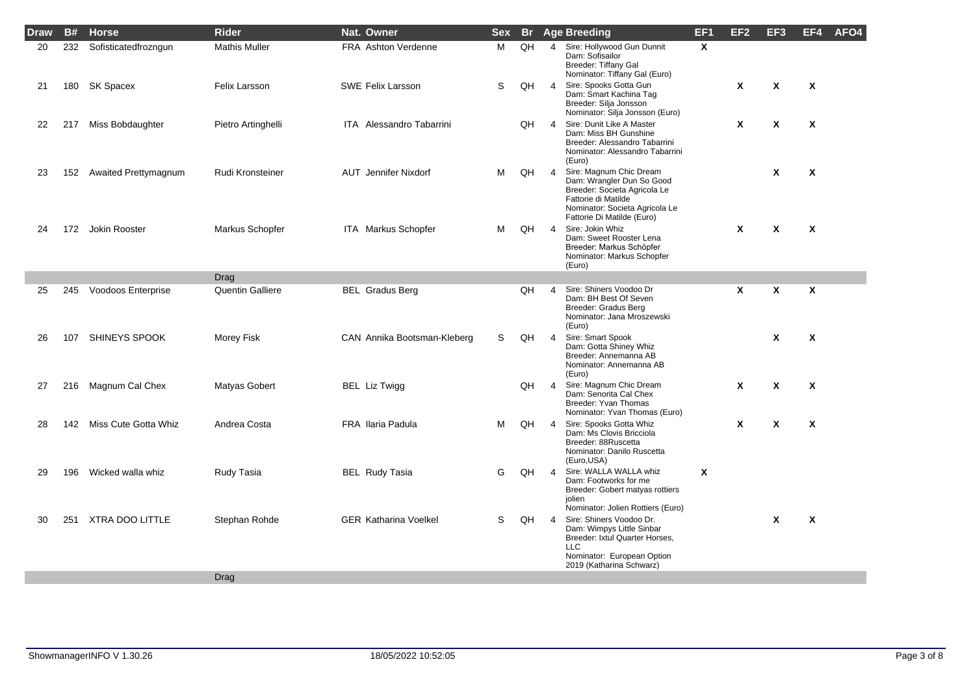| Draw | <b>B#</b> | <b>Horse</b>             | <b>Rider</b>            | Nat. Owner                      | <b>Sex</b> | <b>Br</b> |                | <b>Age Breeding</b>                                                                                                                                                         | EF <sub>1</sub> | EF2 | EF3                       | EF4                       | AFO4 |
|------|-----------|--------------------------|-------------------------|---------------------------------|------------|-----------|----------------|-----------------------------------------------------------------------------------------------------------------------------------------------------------------------------|-----------------|-----|---------------------------|---------------------------|------|
| 20   | 232       | Sofisticatedfrozngun     | <b>Mathis Muller</b>    | <b>FRA</b> Ashton Verdenne      | м          | QH        | $\overline{4}$ | Sire: Hollywood Gun Dunnit<br>Dam: Sofisailor<br>Breeder: Tiffany Gal<br>Nominator: Tiffany Gal (Euro)                                                                      | $\mathsf{x}$    |     |                           |                           |      |
| 21   | 180       | SK Spacex                | Felix Larsson           | <b>SWE Felix Larsson</b>        | S          | QH        | $\overline{4}$ | Sire: Spooks Gotta Gun<br>Dam: Smart Kachina Taq<br>Breeder: Silja Jonsson<br>Nominator: Silja Jonsson (Euro)                                                               |                 | X   | $\boldsymbol{\mathsf{x}}$ | $\boldsymbol{\mathsf{x}}$ |      |
| 22   |           | 217 Miss Bobdaughter     | Pietro Artinghelli      | <b>ITA</b> Alessandro Tabarrini |            | QH        | $\overline{4}$ | Sire: Dunit Like A Master<br>Dam: Miss BH Gunshine<br>Breeder: Alessandro Tabarrini<br>Nominator: Alessandro Tabarrini<br>(Euro)                                            |                 | X   | $\boldsymbol{\mathsf{x}}$ | X                         |      |
| 23   | 152       | Awaited Prettymagnum     | Rudi Kronsteiner        | <b>AUT</b> Jennifer Nixdorf     | м          | QH        | $\overline{4}$ | Sire: Magnum Chic Dream<br>Dam: Wrangler Dun So Good<br>Breeder: Societa Agricola Le<br>Fattorie di Matilde<br>Nominator: Societa Agricola Le<br>Fattorie Di Matilde (Euro) |                 |     | X                         | X                         |      |
| 24   |           | 172 Jokin Rooster        | Markus Schopfer         | ITA Markus Schopfer             | M          | QH        | $\overline{4}$ | Sire: Jokin Whiz<br>Dam: Sweet Rooster Lena<br>Breeder: Markus Schöpfer<br>Nominator: Markus Schopfer<br>(Euro)                                                             |                 | X   | $\boldsymbol{\mathsf{x}}$ | X                         |      |
|      |           |                          | Drag                    |                                 |            |           |                |                                                                                                                                                                             |                 |     |                           |                           |      |
| 25   | 245       | Voodoos Enterprise       | <b>Quentin Galliere</b> | <b>BEL Gradus Berg</b>          |            | QH        | $\overline{4}$ | Sire: Shiners Voodoo Dr<br>Dam: BH Best Of Seven<br>Breeder: Gradus Berg<br>Nominator: Jana Mroszewski<br>(Euro)                                                            |                 | χ   | $\boldsymbol{\mathsf{x}}$ | $\boldsymbol{\mathsf{x}}$ |      |
| 26   | 107       | <b>SHINEYS SPOOK</b>     | Morey Fisk              | CAN Annika Bootsman-Kleberg     | S          | QH        | $\overline{4}$ | Sire: Smart Spook<br>Dam: Gotta Shiney Whiz<br>Breeder: Annemanna AB<br>Nominator: Annemanna AB<br>(Euro)                                                                   |                 |     | $\boldsymbol{\mathsf{x}}$ | X                         |      |
| 27   | 216       | Magnum Cal Chex          | Matyas Gobert           | BEL Liz Twigg                   |            | QH        | $\overline{4}$ | Sire: Magnum Chic Dream<br>Dam: Senorita Cal Chex<br>Breeder: Yvan Thomas<br>Nominator: Yvan Thomas (Euro)                                                                  |                 | X   | $\boldsymbol{\mathsf{x}}$ | X                         |      |
| 28   |           | 142 Miss Cute Gotta Whiz | Andrea Costa            | <b>FRA</b> Ilaria Padula        | м          | QH        | $\overline{4}$ | Sire: Spooks Gotta Whiz<br>Dam: Ms Clovis Bricciola<br>Breeder: 88Ruscetta<br>Nominator: Danilo Ruscetta<br>(Euro, USA)                                                     |                 | X   | $\boldsymbol{\mathsf{x}}$ | X                         |      |
| 29   | 196       | Wicked walla whiz        | Rudy Tasia              | <b>BEL Rudy Tasia</b>           | G          | QH        | $\overline{4}$ | Sire: WALLA WALLA whiz<br>Dam: Footworks for me<br>Breeder: Gobert matyas rottiers<br>jolien<br>Nominator: Jolien Rottiers (Euro)                                           | Χ               |     |                           |                           |      |
| 30   | 251       | XTRA DOO LITTLE          | Stephan Rohde           | <b>GER Katharina Voelkel</b>    | S          | QH        | $\overline{4}$ | Sire: Shiners Voodoo Dr.<br>Dam: Wimpys Little Sinbar<br>Breeder: Ixtul Quarter Horses,<br><b>LLC</b><br>Nominator: European Option<br>2019 (Katharina Schwarz)             |                 |     | X                         | X                         |      |
|      |           |                          | Drag                    |                                 |            |           |                |                                                                                                                                                                             |                 |     |                           |                           |      |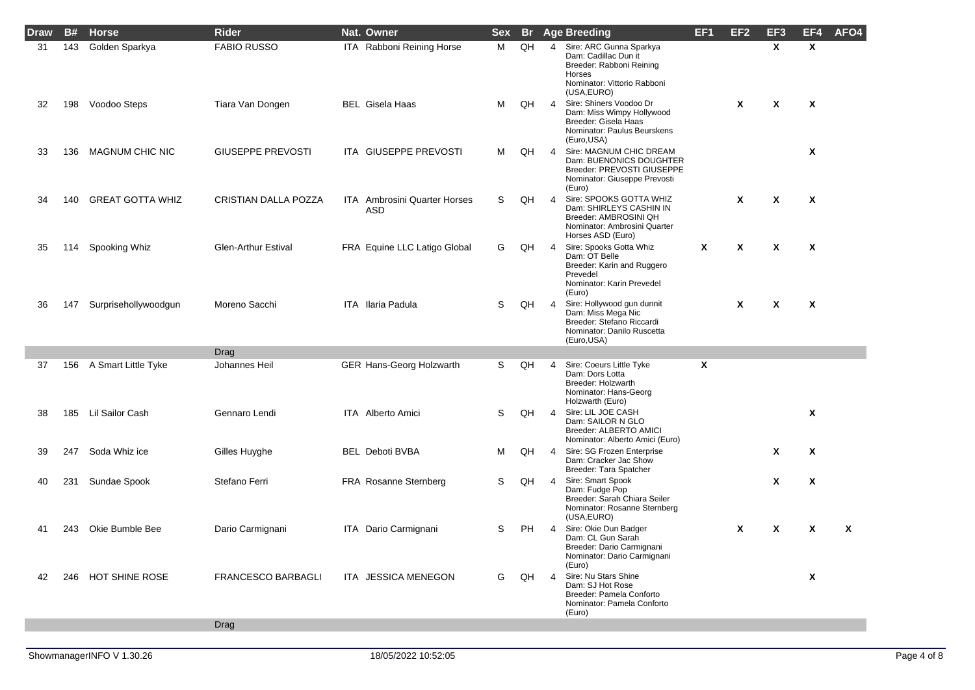| <b>Draw</b> | <b>B#</b> | <b>Horse</b>            | <b>Rider</b>               | Nat. Owner                          | <b>Sex</b> | <b>Br</b> |                | <b>Age Breeding</b>                                                                                                                 | EF <sub>1</sub> | EF <sub>2</sub> | EF <sub>3</sub>           | EF4                       | AFO4 |
|-------------|-----------|-------------------------|----------------------------|-------------------------------------|------------|-----------|----------------|-------------------------------------------------------------------------------------------------------------------------------------|-----------------|-----------------|---------------------------|---------------------------|------|
| 31          | 143       | Golden Sparkya          | <b>FABIO RUSSO</b>         | ITA Rabboni Reining Horse           | м          | QH        | $\overline{4}$ | Sire: ARC Gunna Sparkya<br>Dam: Cadillac Dun it<br>Breeder: Rabboni Reining<br>Horses<br>Nominator: Vittorio Rabboni<br>(USA, EURO) |                 |                 | X                         | X                         |      |
| 32          | 198       | Voodoo Steps            | Tiara Van Dongen           | <b>BEL</b> Gisela Haas              | м          | QH        | $\overline{4}$ | Sire: Shiners Voodoo Dr<br>Dam: Miss Wimpy Hollywood<br>Breeder: Gisela Haas<br>Nominator: Paulus Beurskens<br>(Euro, USA)          |                 | $\mathbf{x}$    | $\boldsymbol{\mathsf{x}}$ | $\mathbf{x}$              |      |
| 33          | 136       | <b>MAGNUM CHIC NIC</b>  | <b>GIUSEPPE PREVOSTI</b>   | ITA GIUSEPPE PREVOSTI               | м          | QH        | $\overline{4}$ | Sire: MAGNUM CHIC DREAM<br>Dam: BUENONICS DOUGHTER<br>Breeder: PREVOSTI GIUSEPPE<br>Nominator: Giuseppe Prevosti<br>(Euro)          |                 |                 |                           | X                         |      |
| 34          | 140       | <b>GREAT GOTTA WHIZ</b> | CRISTIAN DALLA POZZA       | ITA Ambrosini Quarter Horses<br>ASD | S          | QH        | $\overline{4}$ | Sire: SPOOKS GOTTA WHIZ<br>Dam: SHIRLEYS CASHIN IN<br>Breeder: AMBROSINI QH<br>Nominator: Ambrosini Quarter<br>Horses ASD (Euro)    |                 | $\mathbf{x}$    | $\boldsymbol{\mathsf{x}}$ | $\boldsymbol{\mathsf{x}}$ |      |
| 35          | 114       | Spooking Whiz           | <b>Glen-Arthur Estival</b> | FRA Equine LLC Latigo Global        | G          | QH        | $\overline{4}$ | Sire: Spooks Gotta Whiz<br>Dam: OT Belle<br>Breeder: Karin and Ruggero<br>Prevedel<br>Nominator: Karin Prevedel<br>(Euro)           | X               | χ               | X                         | X                         |      |
| 36          | 147       | Surprisehollywoodgun    | Moreno Sacchi              | ITA Ilaria Padula                   | S          | QH        | $\overline{4}$ | Sire: Hollywood gun dunnit<br>Dam: Miss Mega Nic<br>Breeder: Stefano Riccardi<br>Nominator: Danilo Ruscetta<br>(Euro, USA)          |                 | χ               | X                         | X                         |      |
|             |           |                         | Drag                       |                                     |            |           |                |                                                                                                                                     |                 |                 |                           |                           |      |
| 37          | 156       | A Smart Little Tyke     | Johannes Heil              | GER Hans-Georg Holzwarth            | S.         | QH        | $\overline{4}$ | Sire: Coeurs Little Tyke<br>Dam: Dors Lotta<br>Breeder: Holzwarth<br>Nominator: Hans-Georg<br>Holzwarth (Euro)                      | X               |                 |                           |                           |      |
| 38          | 185       | Lil Sailor Cash         | Gennaro Lendi              | ITA Alberto Amici                   | S          | QH        | $\overline{4}$ | Sire: LIL JOE CASH<br>Dam: SAILOR N GLO<br>Breeder: ALBERTO AMICI<br>Nominator: Alberto Amici (Euro)                                |                 |                 |                           | X                         |      |
| 39          | 247       | Soda Whiz ice           | Gilles Huyghe              | <b>BEL Deboti BVBA</b>              | м          | QH        | $\overline{4}$ | Sire: SG Frozen Enterprise<br>Dam: Cracker Jac Show<br>Breeder: Tara Spatcher                                                       |                 |                 | χ                         | $\boldsymbol{\mathsf{x}}$ |      |
| 40          | 231       | Sundae Spook            | Stefano Ferri              | FRA Rosanne Sternberg               | S          | QH        | $\overline{4}$ | Sire: Smart Spook<br>Dam: Fudge Pop<br>Breeder: Sarah Chiara Seiler<br>Nominator: Rosanne Sternberg<br>(USA, EURO)                  |                 |                 | χ                         | X                         |      |
| 41          | 243       | Okie Bumble Bee         | Dario Carmignani           | ITA Dario Carmignani                | S          | <b>PH</b> | 4              | Sire: Okie Dun Badger<br>Dam: CL Gun Sarah<br>Breeder: Dario Carmignani<br>Nominator: Dario Carmignani<br>(Euro)                    |                 | χ               | χ                         | X                         | X    |
| 42          | 246       | <b>HOT SHINE ROSE</b>   | <b>FRANCESCO BARBAGLI</b>  | ITA JESSICA MENEGON                 | G          | QH        | 4              | Sire: Nu Stars Shine<br>Dam: SJ Hot Rose<br>Breeder: Pamela Conforto<br>Nominator: Pamela Conforto<br>(Euro)                        |                 |                 |                           | $\boldsymbol{\mathsf{x}}$ |      |
|             |           |                         | Drag                       |                                     |            |           |                |                                                                                                                                     |                 |                 |                           |                           |      |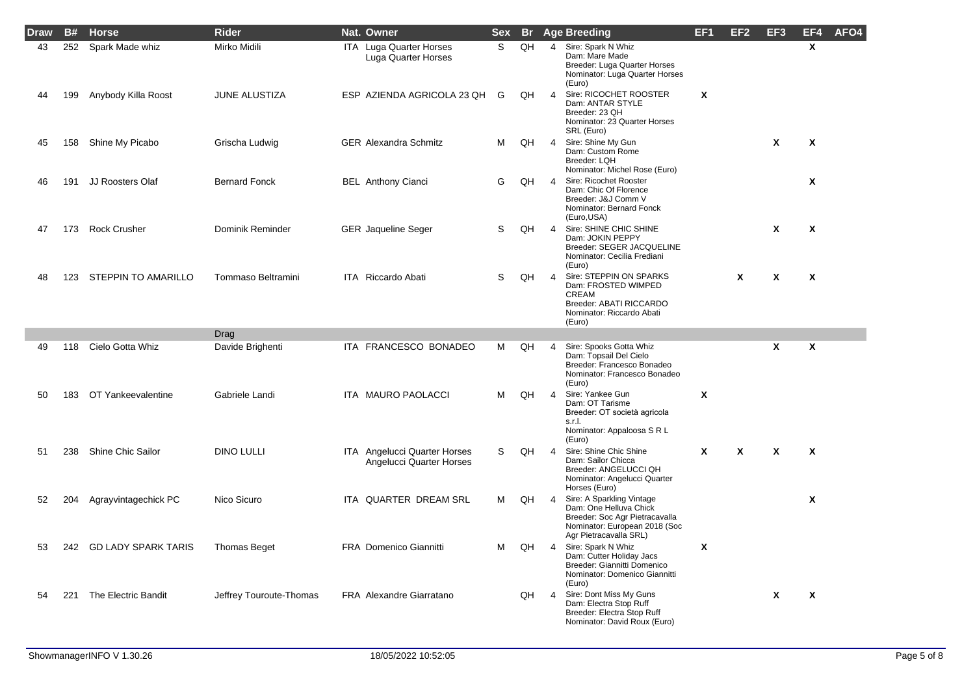| Draw | B#  | <b>Horse</b>               | <b>Rider</b>            | Nat. Owner                                               | <b>Sex</b> |    |                         | <b>Br</b> Age Breeding                                                                                                                           | EF1                       | EF <sub>2</sub> | EF <sub>3</sub>           | EF4                       | AFO4 |
|------|-----|----------------------------|-------------------------|----------------------------------------------------------|------------|----|-------------------------|--------------------------------------------------------------------------------------------------------------------------------------------------|---------------------------|-----------------|---------------------------|---------------------------|------|
| 43   | 252 | Spark Made whiz            | Mirko Midili            | ITA Luga Quarter Horses<br>Luga Quarter Horses           | S.         | QH | $\overline{4}$          | Sire: Spark N Whiz<br>Dam: Mare Made<br>Breeder: Luga Quarter Horses<br>Nominator: Luga Quarter Horses<br>(Euro)                                 |                           |                 |                           | $\mathsf{x}$              |      |
| 44   | 199 | Anybody Killa Roost        | <b>JUNE ALUSTIZA</b>    | ESP AZIENDA AGRICOLA 23 QH                               | G          | QH | $\overline{4}$          | Sire: RICOCHET ROOSTER<br>Dam: ANTAR STYLE<br>Breeder: 23 QH<br>Nominator: 23 Quarter Horses<br>SRL (Euro)                                       | X                         |                 |                           |                           |      |
| 45   | 158 | Shine My Picabo            | Grischa Ludwig          | <b>GER</b> Alexandra Schmitz                             | м          | QH | $\overline{4}$          | Sire: Shine My Gun<br>Dam: Custom Rome<br>Breeder: LQH<br>Nominator: Michel Rose (Euro)                                                          |                           |                 | $\mathbf{x}$              | X                         |      |
| 46   | 191 | <b>JJ Roosters Olaf</b>    | <b>Bernard Fonck</b>    | <b>BEL</b> Anthony Cianci                                | G          | QH | $\overline{4}$          | Sire: Ricochet Rooster<br>Dam: Chic Of Florence<br>Breeder: J&J Comm V<br>Nominator: Bernard Fonck<br>(Euro, USA)                                |                           |                 |                           | $\mathbf{x}$              |      |
| 47   |     | 173 Rock Crusher           | Dominik Reminder        | <b>GER</b> Jaqueline Seger                               | S          | QH | $\overline{4}$          | Sire: SHINE CHIC SHINE<br>Dam: JOKIN PEPPY<br>Breeder: SEGER JACQUELINE<br>Nominator: Cecilia Frediani<br>(Euro)                                 |                           |                 | X                         | X                         |      |
| 48   |     | 123 STEPPIN TO AMARILLO    | Tommaso Beltramini      | ITA Riccardo Abati                                       | S          | QH | $\overline{4}$          | Sire: STEPPIN ON SPARKS<br>Dam: FROSTED WIMPED<br><b>CREAM</b><br>Breeder: ABATI RICCARDO<br>Nominator: Riccardo Abati<br>(Euro)                 |                           | X               | X                         | $\boldsymbol{\mathsf{x}}$ |      |
|      |     |                            | Drag                    |                                                          |            |    |                         |                                                                                                                                                  |                           |                 |                           |                           |      |
| 49   | 118 | Cielo Gotta Whiz           | Davide Brighenti        | ITA FRANCESCO BONADEO                                    | M          | QH | $\overline{\mathbf{A}}$ | Sire: Spooks Gotta Whiz<br>Dam: Topsail Del Cielo<br>Breeder: Francesco Bonadeo<br>Nominator: Francesco Bonadeo<br>(Euro)                        |                           |                 | X                         | X                         |      |
| 50   | 183 | OT Yankeevalentine         | Gabriele Landi          | ITA MAURO PAOLACCI                                       | м          | QH | $\overline{4}$          | Sire: Yankee Gun<br>Dam: OT Tarisme<br>Breeder: OT società agricola<br>s.r.l.<br>Nominator: Appaloosa S R L<br>(Euro)                            | $\boldsymbol{\mathsf{x}}$ |                 |                           |                           |      |
| 51   | 238 | <b>Shine Chic Sailor</b>   | <b>DINO LULLI</b>       | ITA Angelucci Quarter Horses<br>Angelucci Quarter Horses | S          | QH | $\overline{4}$          | Sire: Shine Chic Shine<br>Dam: Sailor Chicca<br>Breeder: ANGELUCCI QH<br>Nominator: Angelucci Quarter<br>Horses (Euro)                           | $\boldsymbol{x}$          | X               | $\boldsymbol{\mathsf{x}}$ | $\boldsymbol{x}$          |      |
| 52   | 204 | Agrayvintagechick PC       | Nico Sicuro             | ITA QUARTER DREAM SRL                                    | M          | QH | $\overline{4}$          | Sire: A Sparkling Vintage<br>Dam: One Helluva Chick<br>Breeder: Soc Agr Pietracavalla<br>Nominator: European 2018 (Soc<br>Agr Pietracavalla SRL) |                           |                 |                           | $\mathbf{x}$              |      |
| 53   | 242 | <b>GD LADY SPARK TARIS</b> | <b>Thomas Beget</b>     | <b>FRA Domenico Giannitti</b>                            | м          | QH | $\overline{4}$          | Sire: Spark N Whiz<br>Dam: Cutter Holiday Jacs<br>Breeder: Giannitti Domenico<br>Nominator: Domenico Giannitti<br>(Euro)                         | X                         |                 |                           |                           |      |
| 54   | 221 | The Electric Bandit        | Jeffrey Touroute-Thomas | <b>FRA Alexandre Giarratano</b>                          |            | QH | $\overline{4}$          | Sire: Dont Miss My Guns<br>Dam: Electra Stop Ruff<br>Breeder: Electra Stop Ruff<br>Nominator: David Roux (Euro)                                  |                           |                 | X                         | X                         |      |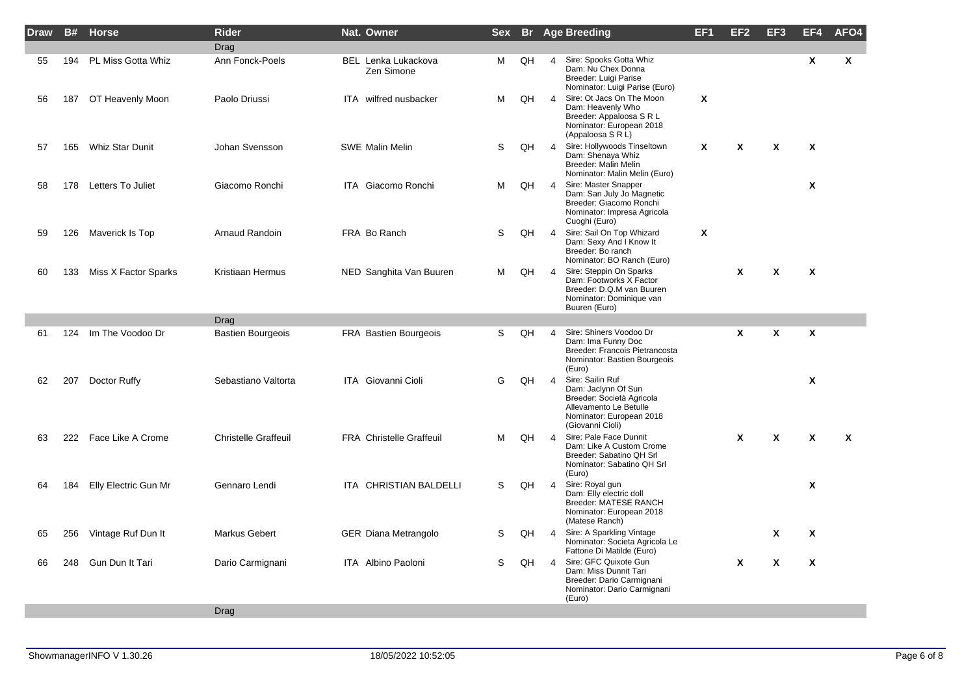| <b>Draw</b> | <b>B#</b> | <b>Horse</b>          | <b>Rider</b>                | Nat. Owner                               | <b>Sex</b> |    |                | <b>Br</b> Age Breeding                                                                                                                         | EF <sub>1</sub> | EF <sub>2</sub> | EF3                       | EF4                       | AFO <sub>4</sub> |
|-------------|-----------|-----------------------|-----------------------------|------------------------------------------|------------|----|----------------|------------------------------------------------------------------------------------------------------------------------------------------------|-----------------|-----------------|---------------------------|---------------------------|------------------|
|             |           |                       | Drag                        |                                          |            |    |                |                                                                                                                                                |                 |                 |                           |                           |                  |
| 55          | 194       | PL Miss Gotta Whiz    | Ann Fonck-Poels             | <b>BEL</b> Lenka Lukackova<br>Zen Simone | м          | QH | $\overline{4}$ | Sire: Spooks Gotta Whiz<br>Dam: Nu Chex Donna<br>Breeder: Luigi Parise<br>Nominator: Luigi Parise (Euro)                                       |                 |                 |                           | X                         | $\boldsymbol{x}$ |
| 56          | 187       | OT Heavenly Moon      | Paolo Driussi               | ITA wilfred nusbacker                    | м          | QH | $\overline{4}$ | Sire: Ot Jacs On The Moon<br>Dam: Heavenly Who<br>Breeder: Appaloosa S R L<br>Nominator: European 2018<br>(Appaloosa S R L)                    | Χ               |                 |                           |                           |                  |
| 57          | 165       | Whiz Star Dunit       | Johan Svensson              | <b>SWE Malin Melin</b>                   | S          | QH | $\overline{4}$ | Sire: Hollywoods Tinseltown<br>Dam: Shenaya Whiz<br>Breeder: Malin Melin<br>Nominator: Malin Melin (Euro)                                      | X               | X               | $\boldsymbol{\mathsf{x}}$ | $\boldsymbol{\mathsf{x}}$ |                  |
| 58          |           | 178 Letters To Juliet | Giacomo Ronchi              | ITA Giacomo Ronchi                       | м          | QH | $\overline{4}$ | Sire: Master Snapper<br>Dam: San July Jo Magnetic<br>Breeder: Giacomo Ronchi<br>Nominator: Impresa Agricola<br>Cuoghi (Euro)                   |                 |                 |                           | $\mathbf{x}$              |                  |
| 59          | 126       | Maverick Is Top       | Arnaud Randoin              | FRA Bo Ranch                             | S          | QH | $\overline{4}$ | Sire: Sail On Top Whizard<br>Dam: Sexy And I Know It<br>Breeder: Bo ranch<br>Nominator: BO Ranch (Euro)                                        | Χ               |                 |                           |                           |                  |
| 60          | 133       | Miss X Factor Sparks  | Kristiaan Hermus            | NED Sanghita Van Buuren                  | м          | QH | $\overline{4}$ | Sire: Steppin On Sparks<br>Dam: Footworks X Factor<br>Breeder: D.Q.M van Buuren<br>Nominator: Dominique van<br>Buuren (Euro)                   |                 | X               | $\boldsymbol{\mathsf{x}}$ | $\mathsf{x}$              |                  |
|             |           |                       | Drag                        |                                          |            |    |                |                                                                                                                                                |                 |                 |                           |                           |                  |
| 61          | 124       | Im The Voodoo Dr      | <b>Bastien Bourgeois</b>    | FRA Bastien Bourgeois                    | S          | QH | 4              | Sire: Shiners Voodoo Dr<br>Dam: Ima Funny Doc<br>Breeder: Francois Pietrancosta<br>Nominator: Bastien Bourgeois<br>(Euro)                      |                 | X               | $\boldsymbol{\mathsf{x}}$ | $\boldsymbol{x}$          |                  |
| 62          | 207       | Doctor Ruffy          | Sebastiano Valtorta         | <b>ITA</b> Giovanni Cioli                | G          | QH | $\overline{4}$ | Sire: Sailin Ruf<br>Dam: Jaclynn Of Sun<br>Breeder: Società Agricola<br>Allevamento Le Betulle<br>Nominator: European 2018<br>(Giovanni Cioli) |                 |                 |                           | $\boldsymbol{x}$          |                  |
| 63          |           | 222 Face Like A Crome | <b>Christelle Graffeuil</b> | <b>FRA Christelle Graffeuil</b>          | м          | QH | $\overline{4}$ | Sire: Pale Face Dunnit<br>Dam: Like A Custom Crome<br>Breeder: Sabatino QH Srl<br>Nominator: Sabatino QH Srl<br>(Euro)                         |                 | $\mathbf{x}$    | $\boldsymbol{\mathsf{x}}$ | $\boldsymbol{\mathsf{x}}$ | $\boldsymbol{x}$ |
| 64          | 184       | Elly Electric Gun Mr  | Gennaro Lendi               | ITA CHRISTIAN BALDELLI                   | S          | QH | $\overline{4}$ | Sire: Royal gun<br>Dam: Elly electric doll<br><b>Breeder: MATESE RANCH</b><br>Nominator: European 2018<br>(Matese Ranch)                       |                 |                 |                           | $\boldsymbol{x}$          |                  |
| 65          | 256       | Vintage Ruf Dun It    | Markus Gebert               | <b>GER Diana Metrangolo</b>              | S          | QH | $\overline{4}$ | Sire: A Sparkling Vintage<br>Nominator: Societa Agricola Le<br>Fattorie Di Matilde (Euro)                                                      |                 |                 | X                         | X                         |                  |
| 66          | 248       | Gun Dun It Tari       | Dario Carmignani            | ITA Albino Paoloni                       | S          | QH | $\overline{4}$ | Sire: GFC Quixote Gun<br>Dam: Miss Dunnit Tari<br>Breeder: Dario Carmignani<br>Nominator: Dario Carmignani<br>(Euro)                           |                 | $\pmb{\chi}$    | $\boldsymbol{\mathsf{x}}$ | $\boldsymbol{x}$          |                  |
|             |           |                       | <b>Drag</b>                 |                                          |            |    |                |                                                                                                                                                |                 |                 |                           |                           |                  |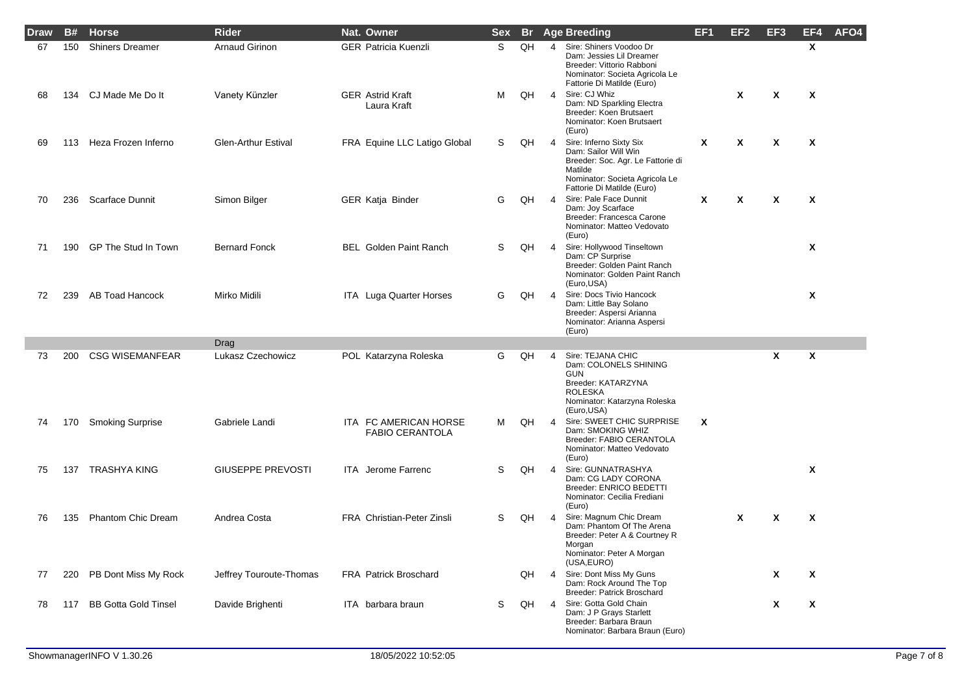| <b>Draw</b> | <b>B#</b> | <b>Horse</b>                | <b>Rider</b>               | Nat. Owner                                      | <b>Sex</b> | -Br |                | <b>Age Breeding</b>                                                                                                                                             | EF <sub>1</sub> | EF <sub>2</sub> | EF <sub>3</sub>           | EF4                       | AFO4 |
|-------------|-----------|-----------------------------|----------------------------|-------------------------------------------------|------------|-----|----------------|-----------------------------------------------------------------------------------------------------------------------------------------------------------------|-----------------|-----------------|---------------------------|---------------------------|------|
| 67          | 150       | <b>Shiners Dreamer</b>      | Arnaud Girinon             | <b>GER Patricia Kuenzli</b>                     | S.         | QH  | $\overline{4}$ | Sire: Shiners Voodoo Dr<br>Dam: Jessies Lil Dreamer<br>Breeder: Vittorio Rabboni<br>Nominator: Societa Agricola Le<br>Fattorie Di Matilde (Euro)                |                 |                 |                           | $\mathsf{x}$              |      |
| 68          | 134       | CJ Made Me Do It            | Vanety Künzler             | <b>GER Astrid Kraft</b><br>Laura Kraft          | м          | QH  | $\overline{4}$ | Sire: CJ Whiz<br>Dam: ND Sparkling Electra<br>Breeder: Koen Brutsaert<br>Nominator: Koen Brutsaert<br>(Euro)                                                    |                 | Χ               | X                         | $\boldsymbol{\mathsf{x}}$ |      |
| 69          | 113       | Heza Frozen Inferno         | <b>Glen-Arthur Estival</b> | FRA Equine LLC Latigo Global                    | S          | QH  | $\overline{4}$ | Sire: Inferno Sixty Six<br>Dam: Sailor Will Win<br>Breeder: Soc. Agr. Le Fattorie di<br>Matilde<br>Nominator: Societa Agricola Le<br>Fattorie Di Matilde (Euro) | X               | $\mathbf{x}$    | $\mathsf{x}$              | $\boldsymbol{\mathsf{x}}$ |      |
| 70          | 236       | Scarface Dunnit             | Simon Bilger               | GER Katja Binder                                | G          | QH  | 4              | Sire: Pale Face Dunnit<br>Dam: Joy Scarface<br>Breeder: Francesca Carone<br>Nominator: Matteo Vedovato<br>(Euro)                                                | X               | X               | $\boldsymbol{\mathsf{x}}$ | $\boldsymbol{\mathsf{x}}$ |      |
| 71          | 190       | GP The Stud In Town         | <b>Bernard Fonck</b>       | <b>BEL</b> Golden Paint Ranch                   | S          | QH  | $\overline{4}$ | Sire: Hollywood Tinseltown<br>Dam: CP Surprise<br>Breeder: Golden Paint Ranch<br>Nominator: Golden Paint Ranch<br>(Euro,USA)                                    |                 |                 |                           | X                         |      |
| 72          | 239       | <b>AB Toad Hancock</b>      | Mirko Midili               | ITA Luga Quarter Horses                         | G          | QH  | $\overline{4}$ | Sire: Docs Tivio Hancock<br>Dam: Little Bay Solano<br>Breeder: Aspersi Arianna<br>Nominator: Arianna Aspersi<br>(Euro)                                          |                 |                 |                           | X                         |      |
|             |           |                             | Drag                       |                                                 |            |     |                |                                                                                                                                                                 |                 |                 |                           |                           |      |
| 73          | 200       | <b>CSG WISEMANFEAR</b>      | Lukasz Czechowicz          | POL Katarzyna Roleska                           | G          | QH  | 4              | Sire: TEJANA CHIC<br>Dam: COLONELS SHINING<br><b>GUN</b><br>Breeder: KATARZYNA<br><b>ROLESKA</b><br>Nominator: Katarzyna Roleska<br>(Euro, USA)                 |                 |                 | X                         | X                         |      |
| 74          | 170       | <b>Smoking Surprise</b>     | Gabriele Landi             | ITA FC AMERICAN HORSE<br><b>FABIO CERANTOLA</b> | м          | QH  | $\overline{4}$ | Sire: SWEET CHIC SURPRISE<br>Dam: SMOKING WHIZ<br>Breeder: FABIO CERANTOLA<br>Nominator: Matteo Vedovato<br>(Euro)                                              | X               |                 |                           |                           |      |
| 75          | 137       | <b>TRASHYA KING</b>         | <b>GIUSEPPE PREVOSTI</b>   | <b>ITA</b> Jerome Farrenc                       | S          | QH  | $\overline{4}$ | Sire: GUNNATRASHYA<br>Dam: CG LADY CORONA<br>Breeder: ENRICO BEDETTI<br>Nominator: Cecilia Frediani<br>(Euro)                                                   |                 |                 |                           | X                         |      |
| 76          | 135       | <b>Phantom Chic Dream</b>   | Andrea Costa               | FRA Christian-Peter Zinsli                      | S          | QH  | 4              | Sire: Magnum Chic Dream<br>Dam: Phantom Of The Arena<br>Breeder: Peter A & Courtney R<br>Morgan<br>Nominator: Peter A Morgan<br>(USA, EURO)                     |                 | X               | X                         | $\boldsymbol{\mathsf{x}}$ |      |
| 77          | 220       | PB Dont Miss My Rock        | Jeffrey Touroute-Thomas    | <b>FRA Patrick Broschard</b>                    |            | QH  | 4              | Sire: Dont Miss My Guns<br>Dam: Rock Around The Top<br>Breeder: Patrick Broschard                                                                               |                 |                 | X                         | $\boldsymbol{\mathsf{x}}$ |      |
| 78          | 117       | <b>BB Gotta Gold Tinsel</b> | Davide Brighenti           | ITA barbara braun                               | S          | QH  | $\overline{4}$ | Sire: Gotta Gold Chain<br>Dam: J P Grays Starlett<br>Breeder: Barbara Braun<br>Nominator: Barbara Braun (Euro)                                                  |                 |                 | X                         | X                         |      |